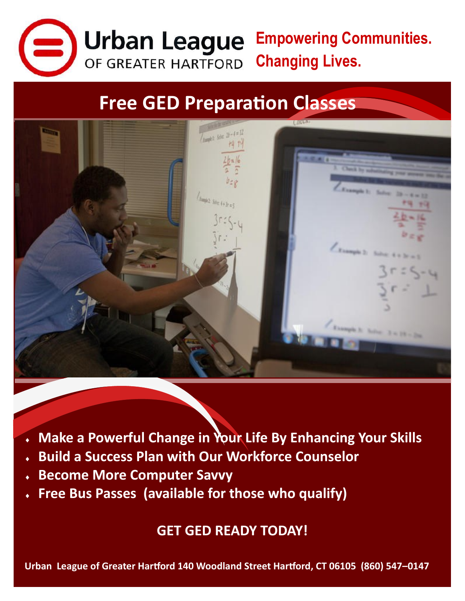

**Empowering Communities.**  Urban League OF GREATER HARTFORD **Changing Lives.** 

## **Free GED Preparation Classes**



- **Make a Powerful Change in Your Life By Enhancing Your Skills**
- **Build a Success Plan with Our Workforce Counselor**
- **Become More Computer Savvy**
- **Free Bus Passes (available for those who qualify)**

**GET GED READY TODAY!**

**Urban League of Greater Hartford 140 Woodland Street Hartford, CT 06105 (860) 547–0147**